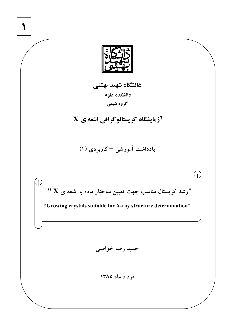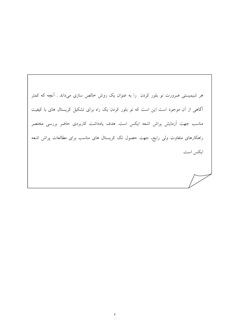هر شیمیستی ضرورت نو بلور کردن ً را به عنوان یک روش خالص سازی میداند . آنچه که کمتر آگاهی از آن موجود است این است که نو بلور کردن یک راه برای تشکیل کریستال های با کیفیت مناسب جهت آزمایش پراش اشعه ایکس است. هدف یادداشت کاربردی حاضر بررسی مختصر راهکارهای متفاوت ولی رایج، جهت حصول تک کریستال های مناسب برای مطالعات پراش اشعه ايكس است.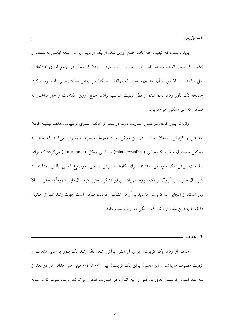۱ – مقدمه ـــــــ

باید دانست که کیفیت اطلاعات جمع آوری شده از یک آزمایش پراش اشعه ایکس به شدت از کیفیت کریستال انتخاب شده تاثیر پذیر است. اثرات خوب نبودن کریستال در جمع آوری اطلاعات، حل ساختار و پالایش تا آن حد مهم است که درانتشار و گزارش چنین ساختارهایی باید تردید کرد. چنانچه تک بلور رشد داده شده از نظر کیفیت مناسب نباشد جمع آوری اطلاعات و حل ساختار نه مشکل که غیر ممکن خواهد بود.

واژه نو بلور کردن دو معنی متفاوت دارد. در سنتز و خالص سازی ترکیبات، هدف بیشینه کردن خلوص و افزایش راندمان است . در این روش، مواد عموماً به سرعت رسوب میکنند که منجر به تشکیل محصول میکرو کریستالی (microcrystalline) و یا بی شکل (amorphous) میگردد که برای مطالعات پراش تک بلور بی ارزشند. برای کارهای پراش سنجی، موضوع اصلی یافتن تعدادی از کریستال های نسبتا ًبزرگ از تک بلورها میباشد. برای تشکیل چنین کریستالهایی عموماً به خلوص بالا نیاز است. از آنجایی که کریستالها باید به آرامی تشکیل گردند، ممکن است جهت رشد آنها از چندین دقیقه تا چندین ماه نیاز باشد که بستگی به نوع سیستم دارد.

هدف از رشد یک کریستال برای آزمایش پراش اشعه X، رشد تک بلور با سایز مناسب و کیفیت مطلوب میباشد. سایز معمول برای یک کریستال بین ۰/۳ تا ۰/٤ میلی متر حداقل در دو بعد از سه بعد است. کریستال های بزرگتر از این اندازه در صورت امکان میتوانند بریده شوند تا به سایز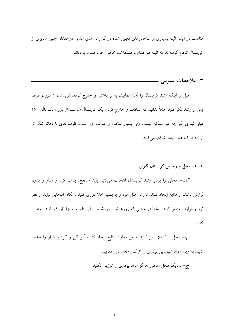مناسب در آیند. البته بسیاری از ساختارهای تعیین شده در گزارش های علمی در فقدان چنین سایزی از کریستال انجام گرفتهاند که البته هر کدام با مشکلات خاص خود همراه بودهاند.

٣- ملاحظات عمومي —

قبل از اینکه رشد کریستال را آغاز نمایید، به بر داشتن و خارج کردن کریستال از درون ظرف پس از رشد فکر کنید. مثلاً بدانید که انتخاب و خارج کردن یک کریستال مناسب از درون بک بالن ۲۵۰ میلی لیتری اگر چه غیر ممکن نیست ولی بسیار سخت و عذاب آور است. ظرف های با دهانه تنگ تر از تنه ظرف هم ايجاد اشكال مي كنند.

## ۳– ۱– محل و وسایل کریستال گیری

الف- محلی را برای رشد کریستال انتخاب میکنید باید مسطح، بدون گرد و غبار و بدون لرزش باشد. از منابع ایجاد کننده لرزش مثل هود و یا پمپ خلا دوری کنید . مکان انتخابی نباید از نظر نور وحرارت متغیر باشد . مثلاً در محلی که روزها نور خورشید بر آن بتابد و شبها تاریک باشد اجتناب كنىد.

ب- محل را کاملا تمیز کنید. سعی نمایید منابع ایجاد کننده آلودگی و گرد و غبار را حذف کنید. به ویژه مواد شیمیایی پودری را از کنار محل دور نمایید.

ج- نزدیک محل مذکور هرگز مواد پودری را توزین نکنید.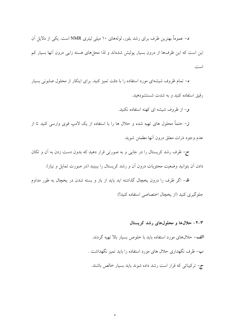د– عموماً بهترین ظرف برای رشد بلور، لولههای ۱۰ میلی لیتری NMR است. یکی از دلایل آن این است که این ظرفها از درون بسیار پولیش شدهاند و لذا محلهای هسته زایی درون آنها بسیار کم است.

ه– تمام ظروف شیشهای مورد استفاده را با دقت تمیز کنید. برای اینکار از محلول صابونی بسیار رقبق استفاده کنید و به شدت شستشودهید.

و– از ظروف شیشه ای کهنه استفاده نکنید.

**ز**– حتماً محلول های تهیه شده و حلال ها را با استفاده از یک لامپ قوی وارسی کنید تا از عدم وجود ذرات معلق درون أنها مطمئن شويد.

ح- ظرف رشد کریستال را در جایی و به صورتی قرار دهید که بدون دست زدن به أن و تکان دادن اّن بتوانید وضعیت محتویات درون اّن و رشد کریستال را ببینید (در صورت تمایل و نیاز).

ط– اگر ظرف را درون یخچال گذاشته اید باید از باز و بسته شدن در یخچال به طور مداوم جلوگیری کنید (از یخچال اختصاصی استفاده کنید!).

> ۳-۲- حلالها و محلولهای رشد کریستال الف- حلالهای مورد استفاده باید با خلوص بسیار بالا تهیه گردند. ب– ظرف نگهداری حلال های مورد استفاده را باید تمیز نگهداشت . ج– ترکیباتی که قرار است رشد داده شوند باید بسیار خالص باشند.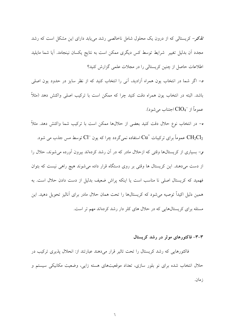تلمکر– کریستالی که از درون یک محلول شامل ناخالصی رشد مییابد دارای این مشکل است که رشد مجدد آن بدلیل تغییر ً شرایط توسط کس دیگری ممکن است به نتایج یکسان نینجامد. آیا شما مایلید اطلاعات حاصل از چنین کریستالی را در مجلات علمی گزارش کنید؟

د- اگر شما در انتخاب یون همراه آزادید، آنی را انتخاب کنید که از نظر سایز در حدود یون اصلی باشد. البته در انتخاب یون همراه دقت کنید چرا که ممکن است با ترکیب اصلی واکنش دهد (مثلاً عموماً از  $\overline{\text{ClO}_4}^{-}$  اجتناب می شود).

ه- در انتخاب نوع حلال دقت كنيد بعضي از حلالها ممكن است با تركيب شما واكنش دهد. مثلاً توسط مس جذب می شود.  ${\rm Cu}^+$  استفاده نمیگردد چرا که یون  ${\rm Cl}^-$  توسط مس جذب می شود.  ${\rm CH_2Cl_2}$ هِ- بسیاری از کریستالها وقتی که ازحلال مادر که در اَن رشد کردهاند بیرون اَورده میشوند، حلال را از دست میدهند. این کریستال ها وقتی بر روی دستگاه قرار داده میشوند هیچ راهی نیست که بتوان فهمید که کریستال اصلی نا مناسب است یا اینکه پراش ضعیف بدلیل از دست دادن حلال است. به همین دلیل اکیداً توصیه میشود که کریستالها را تحت همان حلال مادر برای آنالیز تحویل دهید. این مسئله برای کریستالهایی که در حلال های کلر دار رشد کردهاند مهم تر است.

### ۳–۳– فاکتورهای موثر در رشد کریستال

فاکتورهایی که رشد کریستال را تحت تاثیر قرار میدهند عبارتند از: انحلال پذیری ترکیب در حلال انتخاب شده برای نو بلور سازی، تعداد موقعیتهای هسته زایی، وضعیت مکانیکی سیستم و ز مان.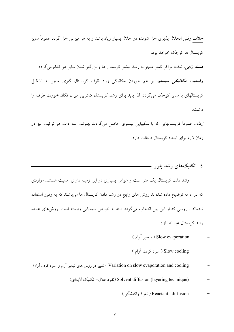ح*لال: وقتی انحلال پذیری حل شونده در حلال بسیار زیاد باشد و به هر میزانی حل گردد عموماً سایز* کر بستال ها کوچک خواهد بود. هسته *زایی:* تعداد مراکز کمتر منجر به رشد بیشتر کریستال ها و بزرگتر شدن سایز هر کدام میگردد. *وضعیت مکانیکی سیستم:* بر هم خوردن مکانیکی زیاد ظرف کریستال گیری منجر به تشکیل کریستالهای با سایز کوچک میگردد. لذا باید برای رشد کریستال کمترین میزان تکان خوردن ظرف را داشت.

<mark>ز*مان:* عموماً کریستالهایی که با شکیبایی بیشتری حاصل میگردند بهترند. البته ذات هر ترکیب نیز در</mark> زمان لازم برای ایجاد کریستال دخالت دارد.

## 

رشد دادن کریستال یک هنر است و عوامل بسیاری در این زمینه دارای اهمیت هستند. مواردی که در ادامه توضیح داده شدهاند روش های رایج در رشد دادن کریستال ها میباشند که به وفور استفاده شدهاند . روشی که از این بین انتخاب میگردد البته به خواص شیمیایی وابسته است. روشهای عمده ر شد کر ستال عبار تند از :

# Slow evaporation ( تبخير آرام )

# Slow cooling ( سرد کردن آرام )

- Variation on slow evaporation and cooling (تغییر در روش های تبخیر آرام و سرد کردن آرام)
	- (Solvent diffusion (layering technique) (نفو ذحلال- تكنيك لايهاى)

## Reactant diffusion ( نفوذ واكنشگر )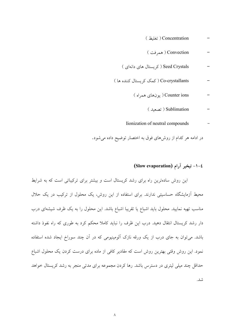| Concentration ( تغليظ )                  |
|------------------------------------------|
| Convection ( همه فت )                    |
| Seed Crystals ( کریستال های دانهای )     |
| Co-crystallants ( کمک کر ستال کننده ها ) |
| Counter ions ( یو نهای همراه )           |
| ( تصعيد ) Sublimation                    |
| Iionization of neutral compounds         |

در ادامه هر کدام از روشهای فوق به اختصار توضیح داده میشود.

# ١-٤- تبخير آرام (Slow evaporation)

این روش سادهترین راه برای رشد کریستال است و بیشتر برای ترکیباتی است که به شرایط محیط آزمایشگاه حساسیتی ندارند. برای استفاده از این روش، یک محلول از ترکیب در یک حلال مناسب تهیه نمایید. محلول باید اشباع یا تقریبا اشباع باشد. این محلول را به یک ظرف شیشهای درب دار رشد کریستال انتقال دهید. درب این ظرف را نباید کاملا محکم کرد به طوری که راه نفوذ داشته باشد. می توان به جای درب از یک ورقه نازک اَلومینیومی که در اَن چند سوراخ ایجاد شده استفاده نمود. این روش وقتی بهترین روش است که مقادیر کافی از ماده برای درست کردن یک محلول اشباع حداقل چند میلی لیتری در دسترس باشد. رها کردن مجموعه برای مدتی منجر به رشد کریستال خواهد شد.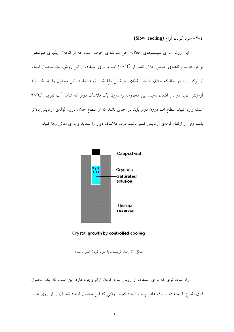## ٤-٢- سرد كردن آرام (Slow cooling)

این روش برای سیستمهای حلال- حل شوندهای خوب است که از انحلال پذیری متوسطی برخوردارند و نقطهی جوش حلال کمتر از ۱۰۰°C است. برای استفاده از این روش، یک محلول اشباع از ترکیب را در حالیکه حلال تا حد نقطهی جوشش داغ شده تهیه نمایید. این محلول را به یک لوله آزمایش تمیز در دار انتقال دهید. این مجموعه را درون یک فلاسک دوار که شامل آب تقریبا  $^\circ\text{C}$ ۹۸° است وارد کنید. سطح آب درون دوار باید در حدی باشد که از سطح حلال درون لولهی آزمایش بالاتر باشد ولی از ارتفاع لولهی آزمایش کمتر باشد. درب فلاسک دوار را ببندید و برای مدتی رها کنید.





شکل(۱) رشد کریستال با سرد کردن کنترل شده

راه ساده تری که برای استفاده از روش سرد کردن آرام وجود دارد این است که یک محلول فوق اشباع با استفاده از یک هات پلیت ایجاد کنید . وقتی که این محلول ایجاد شد آن را از روی هات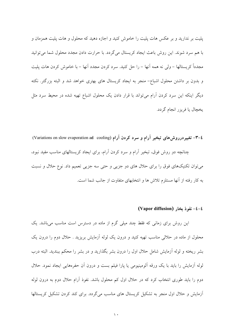پلیت بر ندارید و بر عکس هات پلیت را خاموش کنید و اجازه دهید که محلول و هات پلیت همزمان و با هم سرد شوند. این روش باعث ایجاد کریستال میگردد. با حرارت دادن مجدد محلول شما می توانید مجدداً کر بستالها – ولي نه همه آنها – را حل کنيد. سرد کردن مجدد آنها – با خاموش کردن هات پليت و بدون بر داشتن محلول اشباع– منجر به ایجاد کریستال های بهتری خواهد شد و البته بزرگتر. نکته دیگر اینکه این سرد کردن آرام میتواند با قرار دادن یک محلول اشباع تهیه شده در محیط سرد مثل يخچال يا فريزر انجام گردد.

٤–٣- تغييردرروش هاى تبخير آرام و سرد كردن آرام (Variations on slow evaporation ad cooling) چنانچه دو روش فوق، تبخیر آرام و سرد کردن آرام، برای ایجاد کریستالهای مناسب مفید نبود، می توان تکنیکهای فوق را برای حلال های دو جزیی و حتی سه جزیی تعمیم داد. نوع حلال و نسبت به کار رفته از آنها مستلزم تلاش ها و انتخابهای متفاوت از جانب شما است.

(Vapor diffusion) خـ٤- نفوذ بخار (

این روش برای زمانی که فقط چند میلی گرم از ماده در دسترس است مناسب میباشد. یک محلول از ماده در حلالی مناسب تهیه کنید و درون یک لوله آزمایش بریزید . حلال دوم را درون یک بشر ریخته و لوله اَزمایش شامل حلال اول را درون بشر بگذارید و در بشر را محکم ببندید. البته درب لوله أزمايش را بايد با يک ورقه الومينيومي يا پارا فيلم بست و درون اَن حفرههايي ايجاد نمود. حلال دوم را باید طوری انتخاب کرد که در حلال اول کم محلول باشد. نفوذ آرام حلال دوم به درون لوله آزمایش و حلال اول منجر به تشکیل کریستال های مناسب میگردد. برای کند کردن تشکیل کریستالها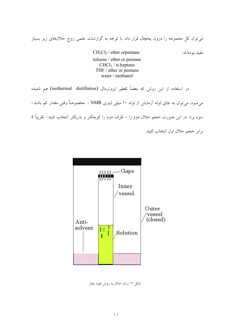می توان کل مجموعه را درون یخچال قرار داد. با توجه به گزارشات علمی زوج حلالهای زیر بسیار

 $CH_2Cl_2$  / ether orpentane toluene / ether or pentane  $CHCl<sub>3</sub>$  / n-heptane THF / ether or pentane water / methanol

در استفاده از این روش که بعضاً تقطیر ایزوترمال (isothermal distillation) هم نامیده

میشود، می توان به جای لوله آزمایش از لوله ۱۰ میلی لیتری NMR - مخصوصاً وقتی مقدار کم باشد– سود برد. در این صورت حجم حلال دوم را – ظرف دوم را کوچکتر و باریکتر انتخاب کنید– تقریباً ٥

برابر حجم حلال اول انتخاب كنيد.

مفيد بو دهاند:



شکل ۲– رشد حلال به روش نفوذ بخار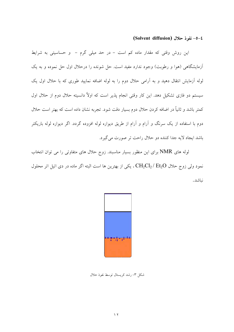(Solvent diffusion) خفوذ حلال (

این روش وقتی که مقدار ماده کم است – در حد میلی گرم – و حساسیتی به شرایط آزمایشگاهی (هوا و رطوبت) وجود ندارد مفید است. حل شونده را درحلال اول حل نموده و به یک لوله اَزمایش انتقال دهید و به اَرامی حلال دوم را به لوله اضافه نمایید طوری که با حلال اول یک سیستم دو فازی تشکیل دهد. این کار وقتی انجام پذیر است که اولاً دانسیته حلال دوم از حلال اول کمتر باشد و ثانیاً در اضافه کردن حلال دوم بسیار دقت شود. تجربه نشان داده است که بهتر است حلال دوم با استفاده از یک سرنگ و آرام و آرام از طریق دیواره لوله افزوده گردد. اگر دیواره لوله باریکتر باشد ایجاد لایه جدا کننده دو حلال راحت تر صورت می گیرد.

لوله های NMR برای این منظور بسیار مناسبند. زوج حلال های متفاوتی را می توان انتخاب نمود ولی زوج حلال CH2Cl2 / Et2O ، یکی از بهترین ها است البته اگر ماده در دی اتیل اتر محلول نىاشد.



شکل ۳- رشد کریستال توسط نفوذ حلال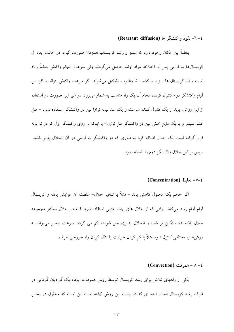## ٤- ٦- نفوذ واكنشگر ها (Reactant diffusion)

بعضاً این امکان وجود دارد که سنتز و رشد کریستالها همزمان صورت گیرد. در حالت ایده آل کر پستال ها په آرامي پس از اختلاط مواد اوليه حاصل مي گردند ولي سرعت انجام واکنش بعضاً زياد است و لذا کریستال ها ریز و با کیفیت نا مطلوب تشکیل می شوند. اگر سرعت واکنش بتواند با افزایش آرام واکنشگر دوم کنترل گردد، انجام آن یک راه مناسب به شمار میرود. در غیر این صورت در استفاده از این روش، باید از یک کنترل کننده سرعت و یک سد نیمه تراوا بین دو واکنشگر استفاده نمود – مثل غشا، سینتر و یا یک مایع خنثی بین دو واکنشگر مثل نوژل– یا اینکه بر روی واکنشگر اول که در ته لوله قرار گرفته است یک حلال اضافه کرد به طوری که دو واکنشگر به آرامی در آن انحلال پذیر باشند. سیس بر این حلال واکنشگر دوم را اضافه نمود.

#### V-٤- تغليظ (Concentration)

اگر حجم یک محلول کاهش یابد – مثلاً با تبخیر حلال– غلظت آن افزایش یافته و کریستال اَّرام اّرام رشد میکنند. وقتی که از حلال های چند جزی<sub>ی</sub> استفاده شود با تبخیر حلال سبکتر مجموعه حلال باقیمانده سنگین تر شده و انحلال پذیری حل شونده کم می گردد. سرعت تبخیر میتواند به روشهای مختلفی کنترل شود مثلاً با کم کردن حرارت یا تنگ کردن راه خروجی ظرف.

#### $(Convection)$  همرفت – ۸ – ۱

یکی از راههای تلاش برای رشد کریستال توسط روش همرفت، ایجاد یک گرادیان گرمایی در ظرف رشد کریستال است. ایده ای که در پشت این روش نهفته است این است که محلول در بخش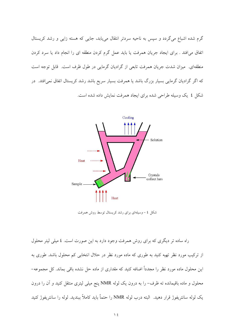گرم شده اشباع می گردد و سپس به ناحیه سردتر انتقال می پابد، جایی که هسته زایی و رشد کریستال اتفاق می افتد . برای ایجاد جریان همرفت یا باید عمل گرم کردن منطقه ای را انجام داد یا سرد کردن منطقهای. میزان شدت جریان همرفت تابعی از گرادیان گرمایی در طول ظرف است. قابل توجه است که اگر گرادیان گرمایی بسیار بزرگ باشد یا همرفت بسیار سریع باشد رشد کریستال اتفاق نمی|فتد. در شکل ٤ یک وسیله طراحی شده برای ایجاد همرفت نمایش داده شده است.



شکل ٤ - وسیلهای برای رشد کریستال توسط روش همرفت

راه ساده تر دیگری که برای روش همرفت وجود دارد به این صورت است. ٤ میلی لیتر محلول از ترکیب مورد نظر تھیه کنید به طوری که ماده مورد نظر در حلال انتخابی کم محلول باشد. طوری به این محلول ماده مورد نظر را مجدداً اضافه کنید که مقداری از ماده حل نشده باقی بماند. کل مجموعه– محلول و ماده باقیمانده ته ظرف- را به درون یک لوله NMR پنج میلی لیتری منتقل کنید و آن را درون يک لوله سانتريفوژ قرار دهيد. البته درب لوله NMR را حتماً بايد کاملاً ببنديد. لوله را سانتريفوژ کنيد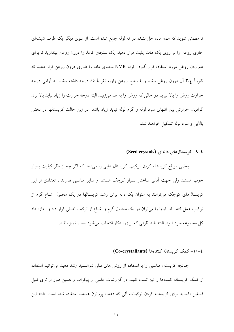تا مطمئن شوید که همه ماده حل نشده در ته لوله جمع شده است. از سوی دیگر یک ظرف شیشهای حاوی روغن را بر روی یک هات پلیت قرار دهید. یک سنجاق کاغذ را درون روغن بیندازید تا برای هم زدن روغن مورد استفاده قرار گیرد. لوله NMR محتوی ماده را طوری درون روغن قرار دهید که تقریباً ٣/٤ آن درون روغن باشد و با سطح روغن زاویه تقریباً ٤٥ درجه داشته باشد. به آرامی درجه حرارت روغن را بالا ببريد در حالي كه روغن را به هم مي زنيد. البته درجه حرارت را زياد نبايد بالا برد. گرادیان حرارتی بین انتهای سرد لوله و گرم لوله نباید زیاد باشد. در این حالت کریستالها در بخش بالایی و سرد لوله تشکیل خواهند شد.

£-۹- کریستالهای دانهای (Seed crystals)

بعضی مواقع کریستاله کردن ترکیب، کریستال هایی را میدهد که اگر چه از نظر کیفیت بسیار خوب هستند ولی جهت آنالیز ساختار بسیار کوچک هستند و سایز مناسبی ندارند . تعدادی از این کریستالهای کوچک میتوانند به عنوان یک دانه برای رشد کریستالها در یک محلول اشباع گرم از ترکیب عمل کنند. لذا اینها را می توان در یک محلول گرم و اشباع از ترکیب اصلی قرار داد و اجازه داد کل مجموعه سرد شود. البته باید ظرفی که برای اینکار انتخاب می شود بسیار تمیز باشد.

#### ٤-١٠- کمک کریستاله کنندهها (Co-crystallants)

چنانچه کریستال مناسبی را با استفاده از روش های قبلی نتوانستید رشد دهید میتوانید استفاده از کمک کریستاله کنندهها را نیز تست کنید. در گزارشات علمی از پیکرات و همین طور از تری فنیل فسفین اکساید برای کریستاله کردن ترکیبات آلی که دهنده پروتون هستند استفاده شده است. البته این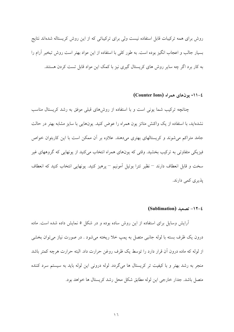روش برای همه ترکیبات قابل استفاده نیست ولی برای ترکیباتی که از این روش کریستاله شدهاند نتایج بسیار جالب و اعجاب انگیز بوده است. به طور کلی با استفاده از این مواد بهتر است روش تبخیر آرام را په کار پرد اگر چه سایر روش های کریستال گیری نیز یا کمک این مواد قابل تست کردن هستند.

٤-١١- يو نهاي همراه (Counter Ions)

چنانچه ترکیب شما یونی است و با استفاده از روشهای قبلی موفق به رشد کریستال مناسب نشدهاید، با استفاده از یک واکنش متاتز یون همراه را عوض کنید. یونهایی با سایز مشابه بهتر در حالت جامد متراکم می شوند و کریستالهای بهتری میدهند. علاوه بر آن ممکن است با این کاربتوان خواص فیزیکی متفاوتی به ترکیب بخشید. وقتی که یونهای همراه انتخاب میکنید از یونهایی که گروههای غیر سخت و قابل انعطاف دارند <sup>—</sup> نظیر تترا بوتیل اَمونیم <sup>—</sup> پرهیز کنید. یونهایی انتخاب کنید که انعطاف يذيري كمي دارند.

#### (Sublimation) تصعید (Sublimation)

آرایش وسایل برای استفاده از این روش ساده بوده و در شکل ۵ نمایش داده شده است. ماده درون یک ظرف بسته با لوله جانبی متصل به پمپ خلا ریخته میشود . در صورت نیاز میتوان بخشی از لوله که ماده درون أن قرار دارد را توسط یک ظرف روغن حرارت داد. البته حرارت هرچه کمتر باشد منجر به رشد بهتر و با کیفیت تر کریستال ها میگردد. لوله درونی این لوله باید به سیستم سرد کننده متصل باشد. جدار خارجي اين لوله مطابق شكل محل رشد كريستال ها خواهد بود.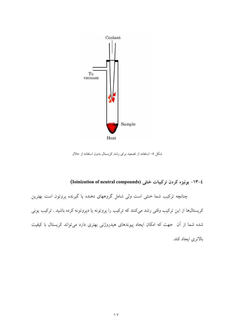

شکل ٥– استفاده از تصعید برای رشد کریستال بدون استفاده از حلال

# ٤-١٣- يونيزه كردن تركيبات خنثى (Ioinization of neutral compounds)

چنانچه ترکیب شما خنثی است ولی شامل گروههای دهنده یا گیرنده پروتون است بهترین کریستالها از این ترکیب وقتی رشد میکنند که ترکیب را پروتونه یا دپروتونه کرده باشید . ترکیب یونی شده شما از آن جهت که امکان ایجاد پیوندهای هیدروژنی بهتری دارد میتواند کریستال با کیفیت بالاترى ايجاد كند.